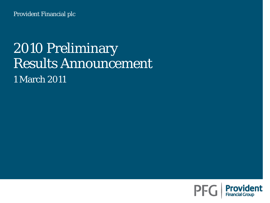Provident Financial plc

## 2010 Preliminary Results Announcement 1 March 2011

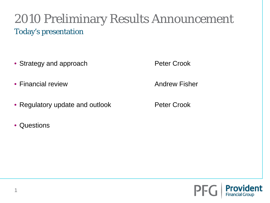### 2010 Preliminary Results Announcement Today's presentation

- Strategy and approach **Peter Crook**
- Financial review **Andrew Fisher Andrew Fisher**
- Regulatory update and outlook **Peter Crook**
- Questions

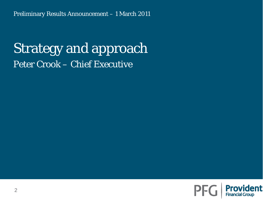## Strategy and approach Peter Crook – Chief Executive

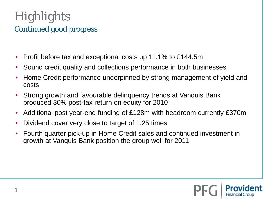### **Highlights** Continued good progress

- Profit before tax and exceptional costs up 11.1% to £144.5m
- Sound credit quality and collections performance in both businesses
- Home Credit performance underpinned by strong management of yield and costs
- Strong growth and favourable delinquency trends at Vanquis Bank produced 30% post-tax return on equity for 2010
- Additional post year-end funding of £128m with headroom currently £370m
- Dividend cover very close to target of 1.25 times
- Fourth quarter pick-up in Home Credit sales and continued investment in growth at Vanquis Bank position the group well for 2011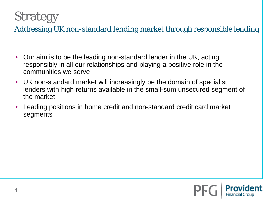## **Strategy**

Addressing UK non-standard lending market through responsible lending

- Our aim is to be the leading non-standard lender in the UK, acting responsibly in all our relationships and playing a positive role in the communities we serve
- UK non-standard market will increasingly be the domain of specialist lenders with high returns available in the small-sum unsecured segment of the market
- Leading positions in home credit and non-standard credit card market segments

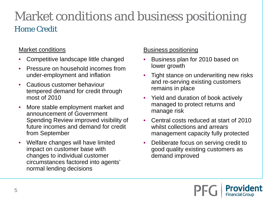## Market conditions and business positioning Home Credit

#### Market conditions

- Competitive landscape little changed
- Pressure on household incomes from under-employment and inflation
- Cautious customer behaviour tempered demand for credit through most of 2010
- More stable employment market and announcement of Government Spending Review improved visibility of future incomes and demand for credit from September
- Welfare changes will have limited impact on customer base with changes to individual customer circumstances factored into agents' normal lending decisions

#### Business positioning

- Business plan for 2010 based on lower growth
- Tight stance on underwriting new risks and re-serving existing customers remains in place
- Yield and duration of book actively managed to protect returns and manage risk
- Central costs reduced at start of 2010 whilst collections and arrears management capacity fully protected
- Deliberate focus on serving credit to good quality existing customers as demand improved

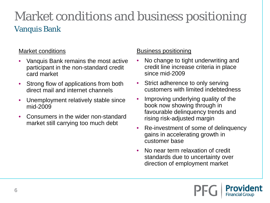### Market conditions and business positioning Vanquis Bank

#### Market conditions

- Vanquis Bank remains the most active participant in the non-standard credit card market
- Strong flow of applications from both direct mail and internet channels
- Unemployment relatively stable since mid-2009
- Consumers in the wider non-standard market still carrying too much debt

#### Business positioning

- No change to tight underwriting and credit line increase criteria in place since mid-2009
- Strict adherence to only serving customers with limited indebtedness
- Improving underlying quality of the book now showing through in favourable delinquency trends and rising risk-adjusted margin
- Re-investment of some of delinquency gains in accelerating growth in customer base
- No near term relaxation of credit standards due to uncertainty over direction of employment market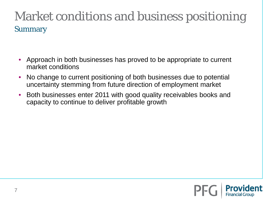## Market conditions and business positioning Summary

- Approach in both businesses has proved to be appropriate to current market conditions
- No change to current positioning of both businesses due to potential uncertainty stemming from future direction of employment market
- Both businesses enter 2011 with good quality receivables books and capacity to continue to deliver profitable growth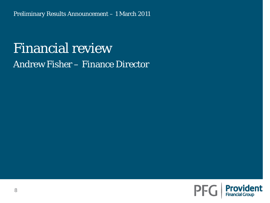## Financial review Andrew Fisher – Finance Director

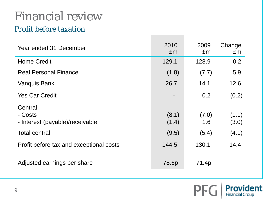## Financial review

### Profit before taxation

| Year ended 31 December                                 | 2010<br>£m     | 2009<br>£m   | Change<br>£m   |
|--------------------------------------------------------|----------------|--------------|----------------|
| <b>Home Credit</b>                                     | 129.1          | 128.9        | 0.2            |
| <b>Real Personal Finance</b>                           | (1.8)          | (7.7)        | 5.9            |
| <b>Vanquis Bank</b>                                    | 26.7           | 14.1         | 12.6           |
| <b>Yes Car Credit</b>                                  |                | 0.2          | (0.2)          |
| Central:<br>- Costs<br>- Interest (payable)/receivable | (8.1)<br>(1.4) | (7.0)<br>1.6 | (1.1)<br>(3.0) |
| <b>Total central</b>                                   | (9.5)          | (5.4)        | (4.1)          |
| Profit before tax and exceptional costs                | 144.5          | 130.1        | 14.4           |
| Adjusted earnings per share                            | 78.6p          | 71.4p        |                |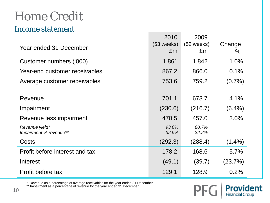#### Income statement

| Year ended 31 December                   | 2010<br>(53 weeks)<br>£m | 2009<br>$(52 \text{ weeks})$<br>£m | Change<br>$\%$ |
|------------------------------------------|--------------------------|------------------------------------|----------------|
| Customer numbers ('000)                  | 1,861                    | 1,842                              | 1.0%           |
| Year-end customer receivables            | 867.2                    | 866.0                              | 0.1%           |
| Average customer receivables             | 753.6                    | 759.2                              | $(0.7\%)$      |
|                                          |                          |                                    |                |
| Revenue                                  | 701.1                    | 673.7                              | 4.1%           |
| Impairment                               | (230.6)                  | (216.7)                            | $(6.4\%)$      |
| Revenue less impairment                  | 470.5                    | 457.0                              | 3.0%           |
| Revenue yield*<br>Impairment % revenue** | 93.0%<br>32.9%           | 88.7%<br>32.2%                     |                |
| Costs                                    | (292.3)                  | (288.4)                            | $(1.4\%)$      |
| Profit before interest and tax           | 178.2                    | 168.6                              | 5.7%           |
| Interest                                 | (49.1)                   | (39.7)                             | (23.7%)        |
| Profit before tax                        | 129.1                    | 128.9                              | 0.2%           |

\* Revenue as a percentage of average receivables for the year ended 31 December

\*\* Impairment as a percentage of revenue for the year ended 31 December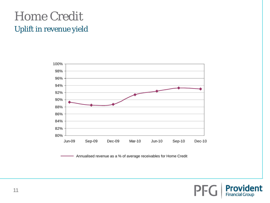### Home Credit Uplift in revenue yield



Annualised revenue as a % of average receivables for Home Credit

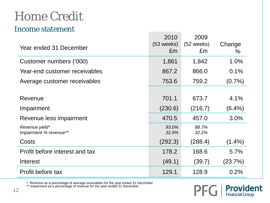#### Income statement

| Year ended 31 December                   | 2010<br>(53 weeks)<br>£m | 2009<br>$(52 \text{ weeks})$<br>£m | Change<br>$\%$ |
|------------------------------------------|--------------------------|------------------------------------|----------------|
| Customer numbers ('000)                  | 1,861                    | 1,842                              | 1.0%           |
| Year-end customer receivables            | 867.2                    | 866.0                              | 0.1%           |
| Average customer receivables             | 753.6                    | 759.2                              | $(0.7\%)$      |
|                                          |                          |                                    |                |
| Revenue                                  | 701.1                    | 673.7                              | 4.1%           |
| Impairment                               | (230.6)                  | (216.7)                            | $(6.4\%)$      |
| Revenue less impairment                  | 470.5                    | 457.0                              | 3.0%           |
| Revenue yield*<br>Impairment % revenue** | 93.0%<br>32.9%           | 88.7%<br>32.2%                     |                |
| Costs                                    | (292.3)                  | (288.4)                            | $(1.4\%)$      |
| Profit before interest and tax           | 178.2                    | 168.6                              | 5.7%           |
| Interest                                 | (49.1)                   | (39.7)                             | (23.7%)        |
| Profit before tax                        | 129.1                    | 128.9                              | 0.2%           |

\* Revenue as a percentage of average receivables for the year ended 31 December

\*\* Impairment as a percentage of revenue for the year ended 31 December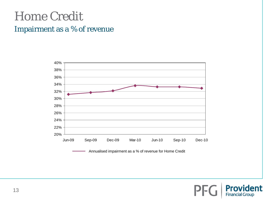#### Impairment as a % of revenue



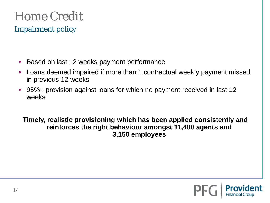Impairment policy

- Based on last 12 weeks payment performance
- Loans deemed impaired if more than 1 contractual weekly payment missed in previous 12 weeks
- 95%+ provision against loans for which no payment received in last 12 weeks

**Timely, realistic provisioning which has been applied consistently and reinforces the right behaviour amongst 11,400 agents and 3,150 employees**

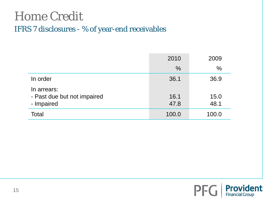### IFRS 7 disclosures - % of year-end receivables

|                                                          | 2010          | 2009         |
|----------------------------------------------------------|---------------|--------------|
|                                                          | $\frac{0}{0}$ | $\%$         |
| In order                                                 | 36.1          | 36.9         |
| In arrears:<br>- Past due but not impaired<br>- Impaired | 16.1<br>47.8  | 15.0<br>48.1 |
| Total                                                    | 100.0         | 100.0        |

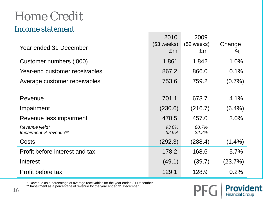#### Income statement

| Year ended 31 December                   | 2010<br>(53 weeks)<br>£m | 2009<br>$(52 \text{ weeks})$<br>£m | Change<br>$\%$ |
|------------------------------------------|--------------------------|------------------------------------|----------------|
| Customer numbers ('000)                  | 1,861                    | 1,842                              | 1.0%           |
| Year-end customer receivables            | 867.2                    | 866.0                              | 0.1%           |
| Average customer receivables             | 753.6                    | 759.2                              | $(0.7\%)$      |
|                                          |                          |                                    |                |
| Revenue                                  | 701.1                    | 673.7                              | 4.1%           |
| Impairment                               | (230.6)                  | (216.7)                            | $(6.4\%)$      |
| Revenue less impairment                  | 470.5                    | 457.0                              | 3.0%           |
| Revenue yield*<br>Impairment % revenue** | 93.0%<br>32.9%           | 88.7%<br>32.2%                     |                |
| Costs                                    | (292.3)                  | (288.4)                            | $(1.4\%)$      |
| Profit before interest and tax           | 178.2                    | 168.6                              | 5.7%           |
| Interest                                 | (49.1)                   | (39.7)                             | (23.7%)        |
| Profit before tax                        | 129.1                    | 128.9                              | 0.2%           |

\* Revenue as a percentage of average receivables for the year ended 31 December

\*\* Impairment as a percentage of revenue for the year ended 31 December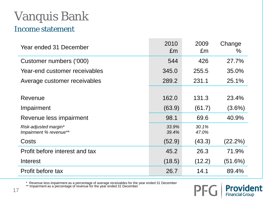# Vanquis Bank

#### Income statement

| Year ended 31 December                          | 2010<br>£m     | 2009<br>£m     | Change<br>$\%$ |
|-------------------------------------------------|----------------|----------------|----------------|
| Customer numbers ('000)                         | 544            | 426            | 27.7%          |
| Year-end customer receivables                   | 345.0          | 255.5          | 35.0%          |
| Average customer receivables                    | 289.2          | 231.1          | 25.1%          |
|                                                 |                |                |                |
| Revenue                                         | 162.0          | 131.3          | 23.4%          |
| Impairment                                      | (63.9)         | (61.7)         | $(3.6\%)$      |
| Revenue less impairment                         | 98.1           | 69.6           | 40.9%          |
| Risk-adjusted margin*<br>Impairment % revenue** | 33.9%<br>39.4% | 30.1%<br>47.0% |                |
| Costs                                           | (52.9)         | (43.3)         | $(22.2\%)$     |
| Profit before interest and tax                  | 45.2           | 26.3           | 71.9%          |
| Interest                                        | (18.5)         | (12.2)         | (51.6%)        |
| Profit before tax                               | 26.7           | 14.1           | 89.4%          |

\* Revenue less impairment as a percentage of average receivables for the year ended 31 December

\*\* Impairment as a percentage of revenue for the year ended 31 December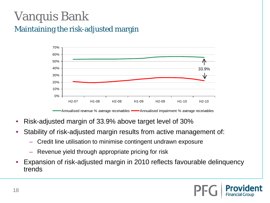## Vanquis Bank Maintaining the risk-adjusted margin



- Risk-adjusted margin of 33.9% above target level of 30%
- Stability of risk-adjusted margin results from active management of:
	- Credit line utilisation to minimise contingent undrawn exposure
	- Revenue yield through appropriate pricing for risk
- Expansion of risk-adjusted margin in 2010 reflects favourable delinquency trends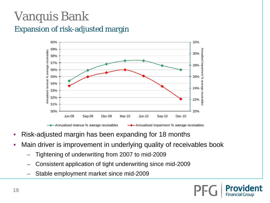## Vanquis Bank Expansion of risk-adjusted margin



- Risk-adjusted margin has been expanding for 18 months
- Main driver is improvement in underlying quality of receivables book
	- Tightening of underwriting from 2007 to mid-2009
	- Consistent application of tight underwriting since mid-2009
	- Stable employment market since mid-2009

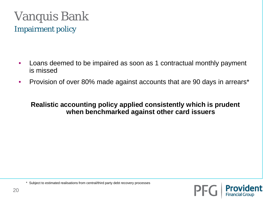## Vanquis Bank Impairment policy

- Loans deemed to be impaired as soon as 1 contractual monthly payment is missed
- Provision of over 80% made against accounts that are 90 days in arrears\*

#### **Realistic accounting policy applied consistently which is prudent when benchmarked against other card issuers**

PF

\* Subject to estimated realisations from central/third party debt recovery processes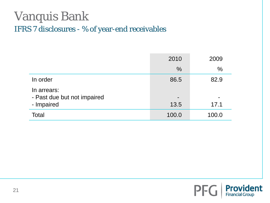### Vanquis Bank IFRS 7 disclosures - % of year-end receivables

|                                                          | 2010                             | 2009          |
|----------------------------------------------------------|----------------------------------|---------------|
|                                                          | $\frac{0}{0}$                    | $\frac{0}{0}$ |
| In order                                                 | 86.5                             | 82.9          |
| In arrears:<br>- Past due but not impaired<br>- Impaired | $\overline{\phantom{0}}$<br>13.5 | 17.1          |
| Total                                                    | 100.0                            | 100.0         |

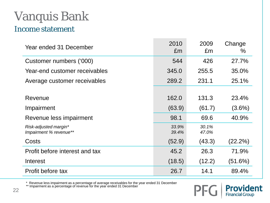# Vanquis Bank

#### Income statement

| Year ended 31 December                          | 2010<br>£m     | 2009<br>£m     | Change<br>$\%$ |
|-------------------------------------------------|----------------|----------------|----------------|
| Customer numbers ('000)                         | 544            | 426            | 27.7%          |
| Year-end customer receivables                   | 345.0          | 255.5          | 35.0%          |
| Average customer receivables                    | 289.2          | 231.1          | 25.1%          |
|                                                 |                |                |                |
| Revenue                                         | 162.0          | 131.3          | 23.4%          |
| Impairment                                      | (63.9)         | (61.7)         | $(3.6\%)$      |
| Revenue less impairment                         | 98.1           | 69.6           | 40.9%          |
| Risk-adjusted margin*<br>Impairment % revenue** | 33.9%<br>39.4% | 30.1%<br>47.0% |                |
| Costs                                           | (52.9)         | (43.3)         | (22.2%)        |
| Profit before interest and tax                  | 45.2           | 26.3           | 71.9%          |
| Interest                                        | (18.5)         | (12.2)         | $(51.6\%)$     |
| Profit before tax                               | 26.7           | 14.1           | 89.4%          |

\* Revenue less impairment as a percentage of average receivables for the year ended 31 December

\*\* Impairment as a percentage of revenue for the year ended 31 December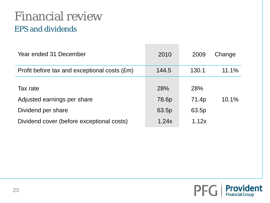### Financial review EPS and dividends

| Year ended 31 December                       | 2010  | 2009  | Change |
|----------------------------------------------|-------|-------|--------|
| Profit before tax and exceptional costs (£m) | 144.5 | 130.1 | 11.1%  |
|                                              |       |       |        |
| Tax rate                                     | 28%   | 28%   |        |
| Adjusted earnings per share                  | 78.6p | 71.4p | 10.1%  |
| Dividend per share                           | 63.5p | 63.5p |        |
| Dividend cover (before exceptional costs)    | 1.24x | 1.12x |        |

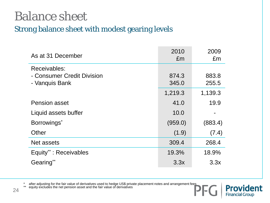## Balance sheet

### Strong balance sheet with modest gearing levels

| As at 31 December          | 2010<br>£m | 2009<br>£m |
|----------------------------|------------|------------|
| <b>Receivables:</b>        |            |            |
| - Consumer Credit Division | 874.3      | 883.8      |
| - Vanquis Bank             | 345.0      | 255.5      |
|                            | 1,219.3    | 1,139.3    |
| <b>Pension asset</b>       | 41.0       | 19.9       |
| Liquid assets buffer       | 10.0       |            |
| Borrowings*                | (959.0)    | (883.4)    |
| Other                      | (1.9)      | (7.4)      |
| Net assets                 | 309.4      | 268.4      |
| Equity**: Receivables      | 19.3%      | 18.9%      |
| Gearing**                  | 3.3x       | 3.3x       |

**Provident** 

\* after adjusting for the fair value of derivatives used to hedge US\$ private placement notes and arrangement fees<br>\*\* equity excludes the net pension asset and the fair value of derivatives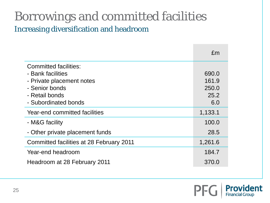### Borrowings and committed facilities Increasing diversification and headroom

|                                                                                                                    | £m                              |
|--------------------------------------------------------------------------------------------------------------------|---------------------------------|
| <b>Committed facilities:</b><br>- Bank facilities<br>- Private placement notes<br>- Senior bonds<br>- Retail bonds | 690.0<br>161.9<br>250.0<br>25.2 |
| - Subordinated bonds                                                                                               | 6.0                             |
| <b>Year-end committed facilities</b>                                                                               | 1,133.1                         |
| - M&G facility                                                                                                     | 100.0                           |
| - Other private placement funds                                                                                    | 28.5                            |
| Committed facilities at 28 February 2011                                                                           | 1,261.6                         |
| Year-end headroom                                                                                                  | 184.7                           |
| Headroom at 28 February 2011                                                                                       | 370.0                           |

**PFC** 

ident

**Prov**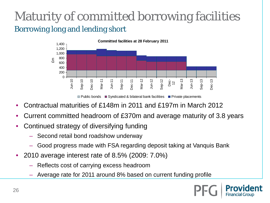### Maturity of committed borrowing facilities Borrowing long and lending short



 $\Box$  Public bonds  $\Box$  Syndicated & bilateral bank facilities  $\Box$  Private placements

- Contractual maturities of £148m in 2011 and £197m in March 2012
- Current committed headroom of £370m and average maturity of 3.8 years
- Continued strategy of diversifying funding
	- Second retail bond roadshow underway
	- Good progress made with FSA regarding deposit taking at Vanquis Bank
- 2010 average interest rate of 8.5% (2009: 7.0%)
	- Reflects cost of carrying excess headroom
	- Average rate for 2011 around 8% based on current funding profile

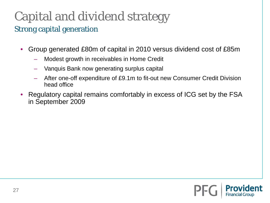# Capital and dividend strategy

### Strong capital generation

- Group generated £80m of capital in 2010 versus dividend cost of £85m
	- Modest growth in receivables in Home Credit
	- Vanquis Bank now generating surplus capital
	- After one-off expenditure of £9.1m to fit-out new Consumer Credit Division head office
- Regulatory capital remains comfortably in excess of ICG set by the FSA in September 2009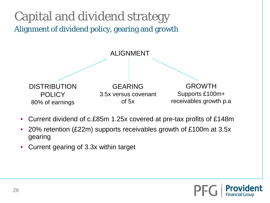### Capital and dividend strategy Alignment of dividend policy, gearing and growth



- Current dividend of c.£85m 1.25x covered at pre-tax profits of £148m
- 20% retention (£22m) supports receivables growth of £100m at 3.5x gearing
- Current gearing of 3.3x within target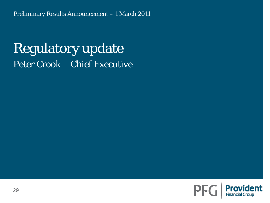## Regulatory update Peter Crook – Chief Executive

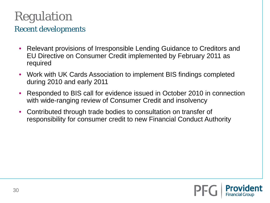# Regulation

### Recent developments

- Relevant provisions of Irresponsible Lending Guidance to Creditors and EU Directive on Consumer Credit implemented by February 2011 as required
- Work with UK Cards Association to implement BIS findings completed during 2010 and early 2011
- Responded to BIS call for evidence issued in October 2010 in connection with wide-ranging review of Consumer Credit and insolvency
- Contributed through trade bodies to consultation on transfer of responsibility for consumer credit to new Financial Conduct Authority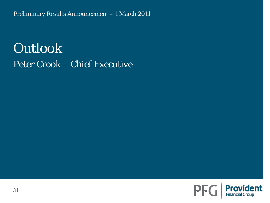Preliminary Results Announcement – 1 March 2011

## **Outlook** Peter Crook – Chief Executive

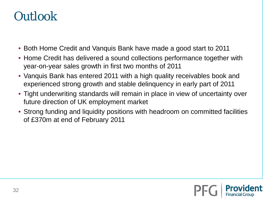## **Outlook**

- Both Home Credit and Vanquis Bank have made a good start to 2011
- Home Credit has delivered a sound collections performance together with year-on-year sales growth in first two months of 2011
- Vanquis Bank has entered 2011 with a high quality receivables book and experienced strong growth and stable delinquency in early part of 2011
- Tight underwriting standards will remain in place in view of uncertainty over future direction of UK employment market
- Strong funding and liquidity positions with headroom on committed facilities of £370m at end of February 2011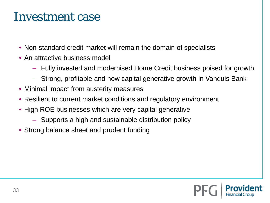## Investment case

- Non-standard credit market will remain the domain of specialists
- An attractive business model
	- Fully invested and modernised Home Credit business poised for growth
	- Strong, profitable and now capital generative growth in Vanquis Bank
- Minimal impact from austerity measures
- Resilient to current market conditions and regulatory environment
- High ROE businesses which are very capital generative
	- Supports a high and sustainable distribution policy
- Strong balance sheet and prudent funding

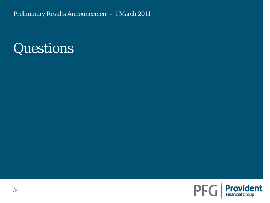Preliminary Results Announcement – 1 March 2011

## Questions